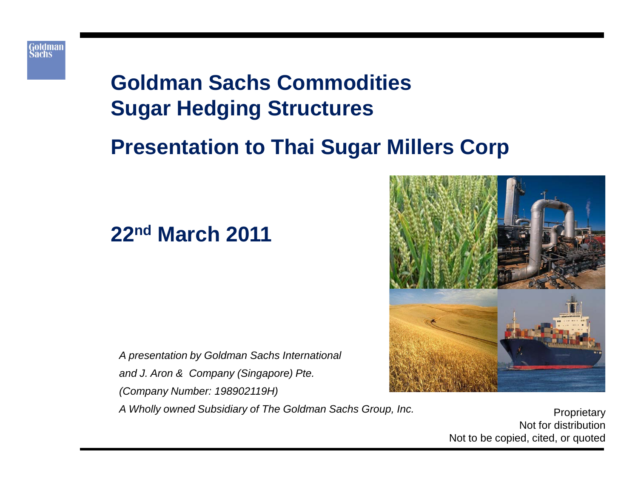

# **Goldman Sachs Commodities Sugar Hedging Structures**

# **Presentation to Thai Sugar Millers Corp**

## **22nd March 2011**

*A presentation by Goldman Sachs International and J. Aron & Company (Singapore) Pte. (Company Number: 198902119H)* A Wholly owned Subsidiary of The Goldman Sachs Group, Inc.



Not for distribution Not to be copied, cited, or quoted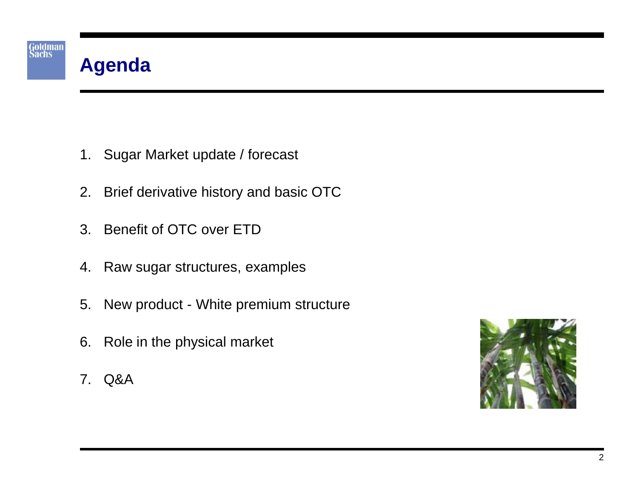

- 1. Sugar Market update / forecast
- 2. Brief derivative history and basic OTC
- 3. Benefit of OTC over ETD
- 4. Raw sugar structures, examples
- 5. New product White premium structure
- 6. Role in the physical market
- 7. Q&A

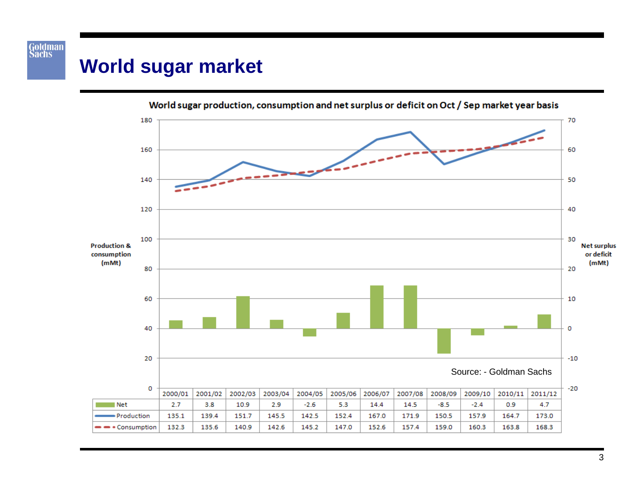## **World sugar market**

Goldman<br>Sachs



World sugar production, consumption and net surplus or deficit on Oct / Sep market year basis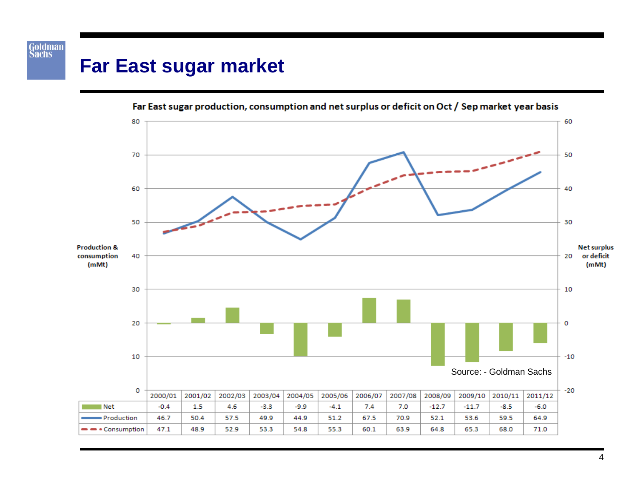# **Far East sugar market**

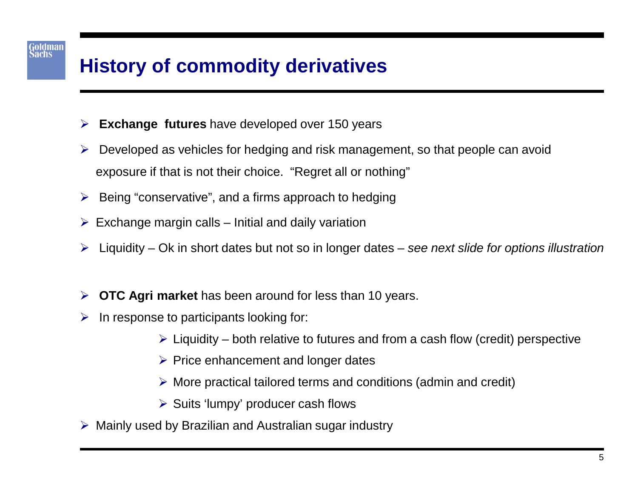# **History of commodity derivatives**

- **Exchange futures** have developed over 150 years
- $\triangleright$  Developed as vehicles for hedging and risk management, so that people can avoid exposure if that is not their choice. "Regret all or nothing"
- $\triangleright$  Being "conservative", and a firms approach to hedging
- $\triangleright$  Exchange margin calls Initial and daily variation
- Liquidity Ok in short dates but not so in longer dates *see next slide for options illustration*
- **OTC Agri market** has been around for less than 10 years.
- $\triangleright$  In response to participants looking for:
	- $\triangleright$  Liquidity both relative to futures and from a cash flow (credit) perspective
	- $\triangleright$  Price enhancement and longer dates
	- $\triangleright$  More practical tailored terms and conditions (admin and credit)
	- $\triangleright$  Suits 'lumpy' producer cash flows
- $\triangleright$  Mainly used by Brazilian and Australian sugar industry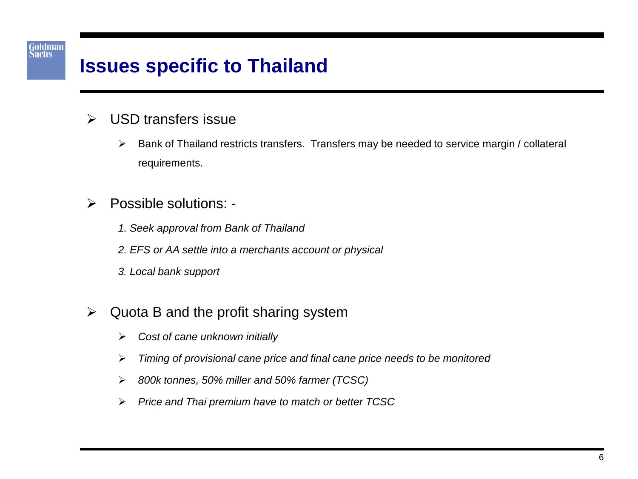#### Goldman<br>Sachs

## **Issues specific to Thailand**

#### **▶ USD transfers issue**

- $\triangleright$  Bank of Thailand restricts transfers. Transfers may be needed to service margin / collateral requirements.
- Possible solutions:
	- *1. Seek approval from Bank of Thailand*
	- *2. EFS or AA settle into a merchants account or physical*
	- *3. Local bank support*
- $\triangleright$  Quota B and the profit sharing system
	- *Cost of cane unknown initially*
	- *Timing of provisional cane price and final cane price needs to be monitored*
	- *800k tonnes, 50% miller and 50% farmer (TCSC)*
	- *Price and Thai premium have to match or better TCSC*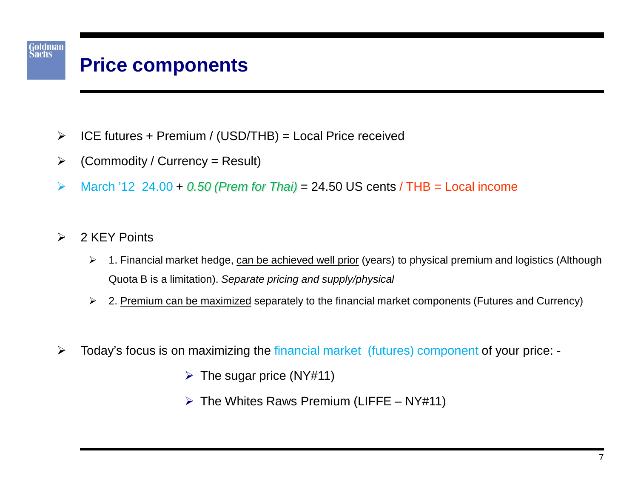# **Price components**

- $\triangleright$  ICE futures + Premium / (USD/THB) = Local Price received
- $\triangleright$  (Commodity / Currency = Result)
- March '12 24.00 + *0.50 (Prem for Thai)* = 24.50 US cents / THB = Local income
- $\geqslant$  2 KEY Points

- ▶ 1. Financial market hedge, can be achieved well prior (years) to physical premium and logistics (Although Quota B is a limitation). *Separate pricing and supply/physical*
- $\geq$  2. Premium can be maximized separately to the financial market components (Futures and Currency)
- Today's focus is on maximizing the financial market (futures) component of your price:
	- $\triangleright$  The sugar price (NY#11)
	- $\triangleright$  The Whites Raws Premium (LIFFE NY#11)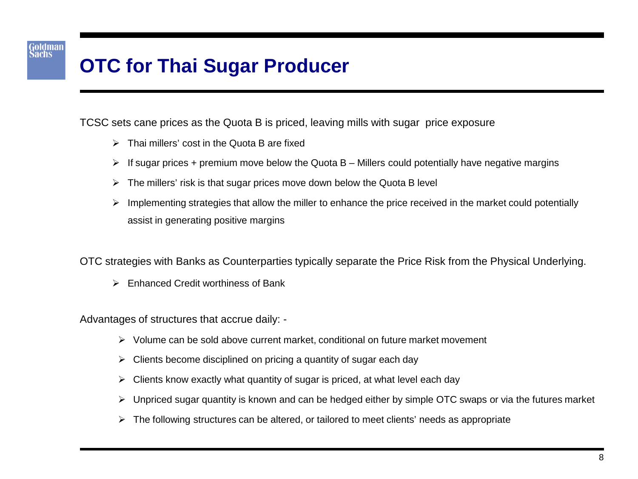# **OTC for Thai Sugar Producer**

Goldman<br>Sachs

TCSC sets cane prices as the Quota B is priced, leaving mills with sugar price exposure

- $\triangleright$  Thai millers' cost in the Quota B are fixed
- $\triangleright$  If sugar prices + premium move below the Quota B Millers could potentially have negative margins
- $\triangleright$  The millers' risk is that sugar prices move down below the Quota B level
- $\triangleright$  Implementing strategies that allow the miller to enhance the price received in the market could potentially assist in generating positive margins

OTC strategies with Banks as Counterparties typically separate the Price Risk from the Physical Underlying.

 $\triangleright$  Enhanced Credit worthiness of Bank

Advantages of structures that accrue daily: -

- $\triangleright$  Volume can be sold above current market, conditional on future market movement
- $\triangleright$  Clients become disciplined on pricing a quantity of sugar each day
- $\triangleright$  Clients know exactly what quantity of sugar is priced, at what level each day
- $\triangleright$  Unpriced sugar quantity is known and can be hedged either by simple OTC swaps or via the futures market
- $\triangleright$  The following structures can be altered, or tailored to meet clients' needs as appropriate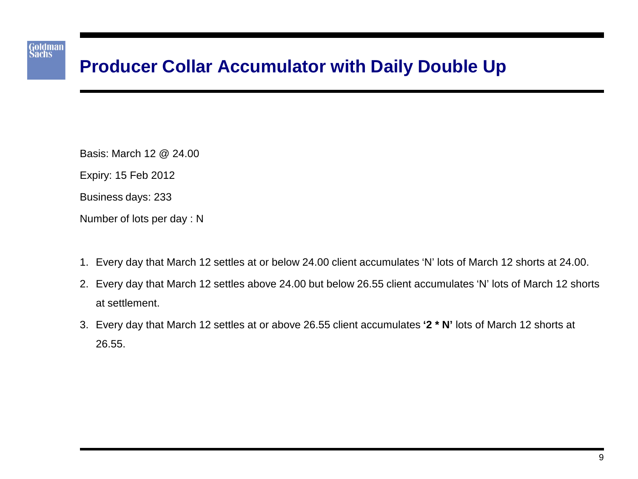### Goldman<br>Sachs

### **Producer Collar Accumulator with Daily Double Up**

Basis: March 12 @ 24.00

Expiry: 15 Feb 2012

Business days: 233

Number of lots per day : N

- 1. Every day that March 12 settles at or below 24.00 client accumulates 'N' lots of March 12 shorts at 24.00.
- 2. Every day that March 12 settles above 24.00 but below 26.55 client accumulates 'N' lots of March 12 shorts at settlement.
- 3. Every day that March 12 settles at or above 26.55 client accumulates **'2 \* N'** lots of March 12 shorts at 26.55.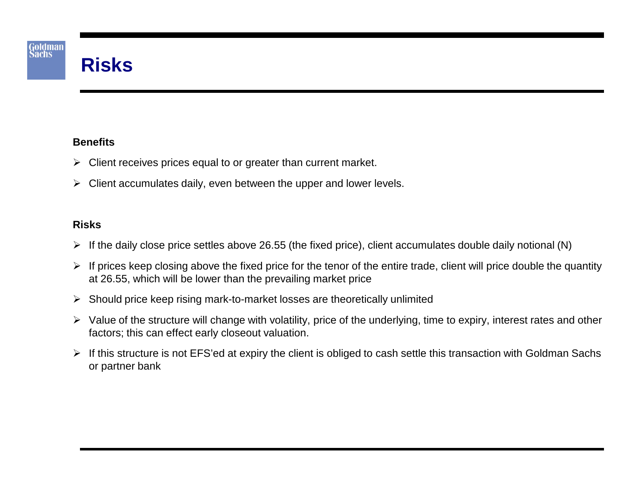

#### **Benefits**

- $\triangleright$  Client receives prices equal to or greater than current market.
- $\triangleright$  Client accumulates daily, even between the upper and lower levels.

#### **Risks**

- $\triangleright$  If the daily close price settles above 26.55 (the fixed price), client accumulates double daily notional (N)
- $\triangleright$  If prices keep closing above the fixed price for the tenor of the entire trade, client will price double the quantity at 26.55, which will be lower than the prevailing market price
- $\triangleright$  Should price keep rising mark-to-market losses are theoretically unlimited
- $\triangleright$  Value of the structure will change with volatility, price of the underlying, time to expiry, interest rates and other factors; this can effect early closeout valuation.
- $\triangleright$  If this structure is not EFS'ed at expiry the client is obliged to cash settle this transaction with Goldman Sachs or partner bank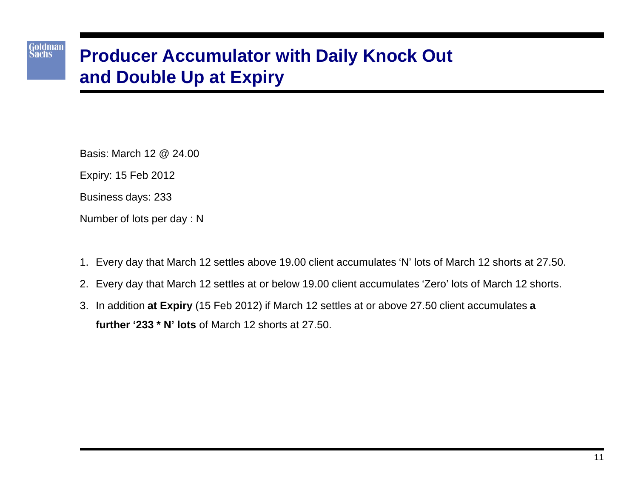## **Producer Accumulator with Daily Knock Out and Double Up at Expiry**

Basis: March 12 @ 24.00

Expiry: 15 Feb 2012

Goldman<br>Sachs

Business days: 233

Number of lots per day : N

- 1. Every day that March 12 settles above 19.00 client accumulates 'N' lots of March 12 shorts at 27.50.
- 2. Every day that March 12 settles at or below 19.00 client accumulates 'Zero' lots of March 12 shorts.
- 3. In addition **at Expiry** (15 Feb 2012) if March 12 settles at or above 27.50 client accumulates **a further '233 \* N' lots** of March 12 shorts at 27.50.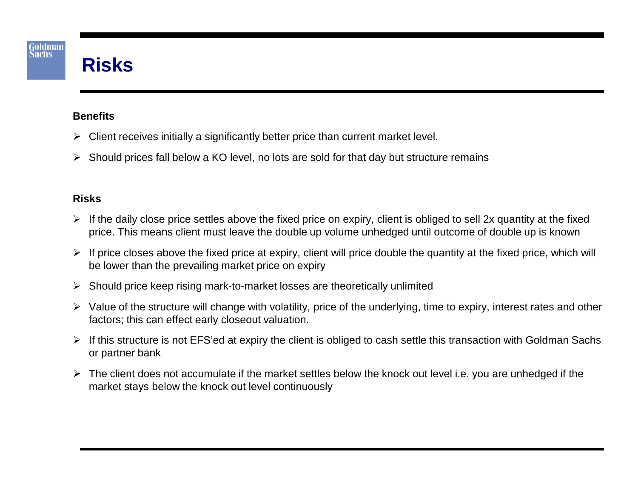#### **Benefits**

- $\triangleright$  Client receives initially a significantly better price than current market level.
- $\triangleright$  Should prices fall below a KO level, no lots are sold for that day but structure remains

#### **Risks**

- $\triangleright$  If the daily close price settles above the fixed price on expiry, client is obliged to sell 2x quantity at the fixed price. This means client must leave the double up volume unhedged until outcome of double up is known
- $\triangleright$  If price closes above the fixed price at expiry, client will price double the quantity at the fixed price, which will be lower than the prevailing market price on expiry
- $\triangleright$  Should price keep rising mark-to-market losses are theoretically unlimited
- $\triangleright$  Value of the structure will change with volatility, price of the underlying, time to expiry, interest rates and other factors; this can effect early closeout valuation.
- $\triangleright$  If this structure is not EFS'ed at expiry the client is obliged to cash settle this transaction with Goldman Sachs or partner bank
- $\triangleright$  The client does not accumulate if the market settles below the knock out level i.e. you are unhedged if the market stays below the knock out level continuously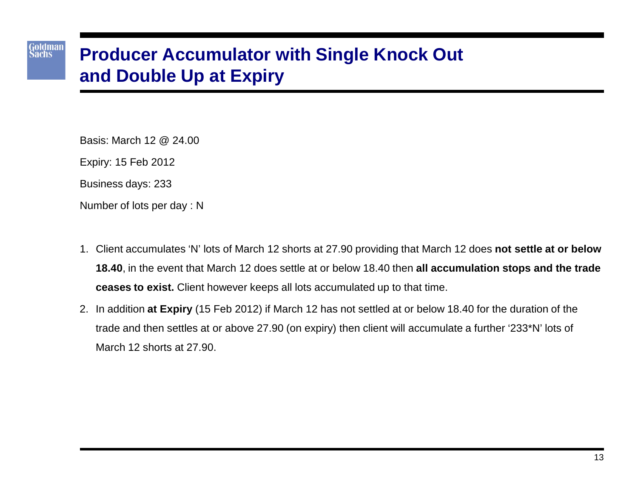### **Producer Accumulator with Single Knock Out and Double Up at Expiry**

Basis: March 12 @ 24.00

Expiry: 15 Feb 2012

Goldman<br>Sachs

Business days: 233

Number of lots per day : N

- 1. Client accumulates 'N' lots of March 12 shorts at 27.90 providing that March 12 does **not settle at or below 18.40**, in the event that March 12 does settle at or below 18.40 then **all accumulation stops and the trade ceases to exist.** Client however keeps all lots accumulated up to that time.
- 2. In addition **at Expiry** (15 Feb 2012) if March 12 has not settled at or below 18.40 for the duration of the trade and then settles at or above 27.90 (on expiry) then client will accumulate a further '233\*N' lots of March 12 shorts at 27.90.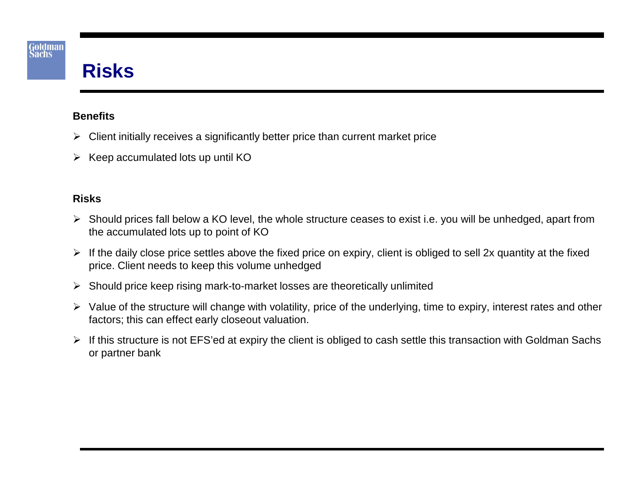## **Risks**

#### **Benefits**

- $\triangleright$  Client initially receives a significantly better price than current market price
- $\triangleright$  Keep accumulated lots up until KO

#### **Risks**

- Should prices fall below a KO level, the whole structure ceases to exist i.e. you will be unhedged, apart from the accumulated lots up to point of KO
- $\triangleright$  If the daily close price settles above the fixed price on expiry, client is obliged to sell 2x quantity at the fixed price. Client needs to keep this volume unhedged
- $\triangleright$  Should price keep rising mark-to-market losses are theoretically unlimited
- $\triangleright$  Value of the structure will change with volatility, price of the underlying, time to expiry, interest rates and other factors; this can effect early closeout valuation.
- $\triangleright$  If this structure is not EFS'ed at expiry the client is obliged to cash settle this transaction with Goldman Sachs or partner bank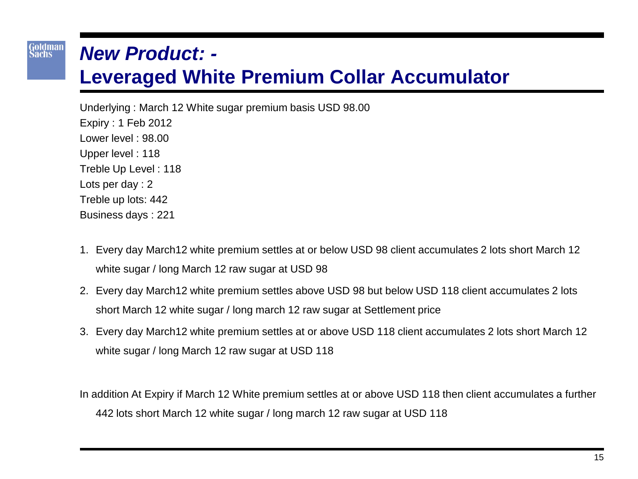### *New Product: -*

Goldman<br>Sachs

### **Leveraged White Premium Collar Accumulator**

Underlying : March 12 White sugar premium basis USD 98.00 Expiry : 1 Feb 2012 Lower level : 98.00 Upper level : 118 Treble Up Level : 118 Lots per day : 2 Treble up lots: 442 Business days : 221

- 1. Every day March12 white premium settles at or below USD 98 client accumulates 2 lots short March 12 white sugar / long March 12 raw sugar at USD 98
- 2. Every day March12 white premium settles above USD 98 but below USD 118 client accumulates 2 lots short March 12 white sugar / long march 12 raw sugar at Settlement price
- 3. Every day March12 white premium settles at or above USD 118 client accumulates 2 lots short March 12 white sugar / long March 12 raw sugar at USD 118

In addition At Expiry if March 12 White premium settles at or above USD 118 then client accumulates a further 442 lots short March 12 white sugar / long march 12 raw sugar at USD 118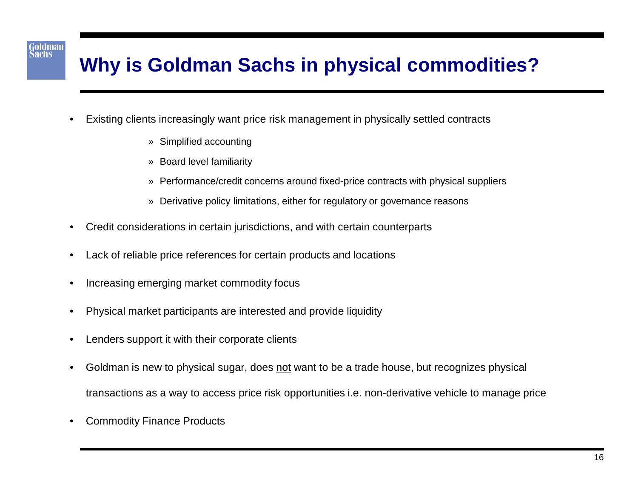# **Why is Goldman Sachs in physical commodities?**

- Existing clients increasingly want price risk management in physically settled contracts
	- » Simplified accounting

- » Board level familiarity
- » Performance/credit concerns around fixed-price contracts with physical suppliers
- » Derivative policy limitations, either for regulatory or governance reasons
- Credit considerations in certain jurisdictions, and with certain counterparts
- Lack of reliable price references for certain products and locations
- Increasing emerging market commodity focus
- Physical market participants are interested and provide liquidity
- Lenders support it with their corporate clients
- Goldman is new to physical sugar, does not want to be a trade house, but recognizes physical transactions as a way to access price risk opportunities i.e. non-derivative vehicle to manage price
- Commodity Finance Products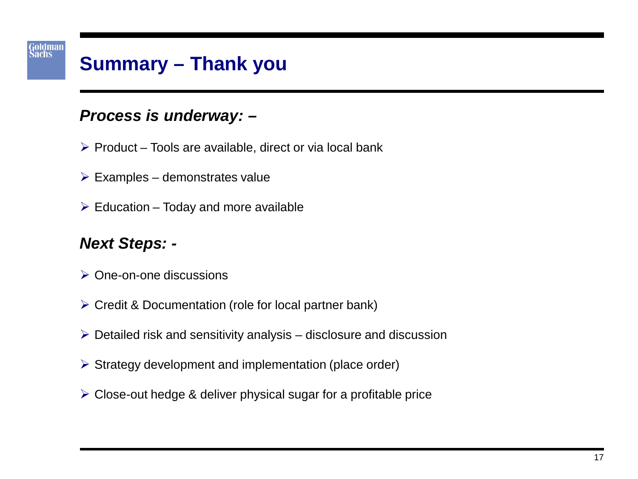

## **Summary – Thank you**

#### *Process is underway: –*

- $\triangleright$  Product Tools are available, direct or via local bank
- $\triangleright$  Examples demonstrates value
- $\triangleright$  Education Today and more available

#### *Next Steps: -*

- **▶ One-on-one discussions**
- ▶ Credit & Documentation (role for local partner bank)
- $\triangleright$  Detailed risk and sensitivity analysis disclosure and discussion
- $\triangleright$  Strategy development and implementation (place order)
- $\triangleright$  Close-out hedge & deliver physical sugar for a profitable price